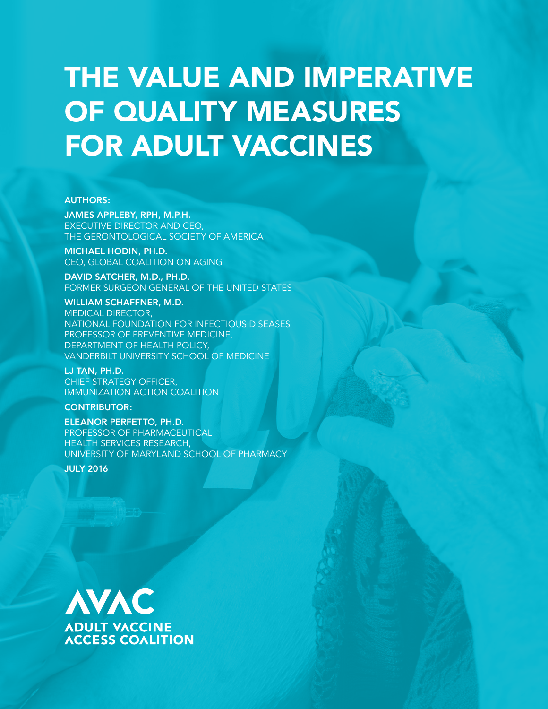# THE VALUE AND IMPERATIVE OF QUALITY MEASURES FOR ADULT VACCINES

#### AUTHORS:

JAMES APPLEBY, RPH, M.P.H. EXECUTIVE DIRECTOR AND CEO, THE GERONTOLOGICAL SOCIETY OF AMERICA

MICHAEL HODIN, PH.D. CEO, GLOBAL COALITION ON AGING

DAVID SATCHER, M.D., PH.D. FORMER SURGEON GENERAL OF THE UNITED STATES

WILLIAM SCHAFFNER, M.D. MEDICAL DIRECTOR, NATIONAL FOUNDATION FOR INFECTIOUS DISEASES PROFESSOR OF PREVENTIVE MEDICINE, DEPARTMENT OF HEALTH POLICY, VANDERBILT UNIVERSITY SCHOOL OF MEDICINE

LJ TAN, PH.D. CHIEF STRATEGY OFFICER, IMMUNIZATION ACTION COALITION

CONTRIBUTOR:

ELEANOR PERFETTO, PH.D. PROFESSOR OF PHARMACEUTICAL HEALTH SERVICES RESEARCH, UNIVERSITY OF MARYLAND SCHOOL OF PHARMACY

JULY 2016

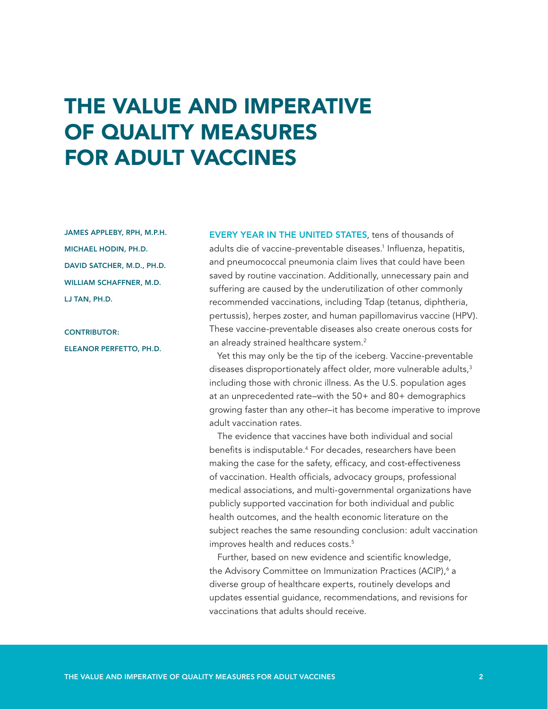## THE VALUE AND IMPERATIVE OF QUALITY MEASURES FOR ADULT VACCINES

JAMES APPLEBY, RPH, M.P.H. MICHAEL HODIN, PH.D. DAVID SATCHER, M.D., PH.D. WILLIAM SCHAFFNER, M.D. LJ TAN, PH.D.

CONTRIBUTOR: ELEANOR PERFETTO, PH.D.

EVERY YEAR IN THE UNITED STATES, tens of thousands of adults die of vaccine-preventable diseases.<sup>1</sup> Influenza, hepatitis, and pneumococcal pneumonia claim lives that could have been saved by routine vaccination. Additionally, unnecessary pain and suffering are caused by the underutilization of other commonly recommended vaccinations, including Tdap (tetanus, diphtheria, pertussis), herpes zoster, and human papillomavirus vaccine (HPV). These vaccine-preventable diseases also create onerous costs for an already strained healthcare system.<sup>2</sup>

Yet this may only be the tip of the iceberg. Vaccine-preventable diseases disproportionately affect older, more vulnerable adults,<sup>3</sup> including those with chronic illness. As the U.S. population ages at an unprecedented rate–with the 50+ and 80+ demographics growing faster than any other–it has become imperative to improve adult vaccination rates.

The evidence that vaccines have both individual and social benefits is indisputable.4 For decades, researchers have been making the case for the safety, efficacy, and cost-effectiveness of vaccination. Health officials, advocacy groups, professional medical associations, and multi-governmental organizations have publicly supported vaccination for both individual and public health outcomes, and the health economic literature on the subject reaches the same resounding conclusion: adult vaccination improves health and reduces costs.<sup>5</sup>

Further, based on new evidence and scientific knowledge, the Advisory Committee on Immunization Practices (ACIP),<sup>6</sup> a diverse group of healthcare experts, routinely develops and updates essential guidance, recommendations, and revisions for vaccinations that adults should receive.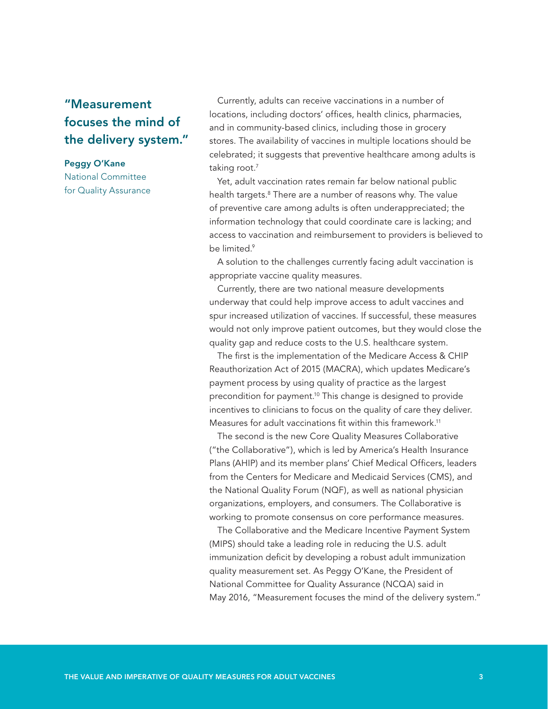#### "Measurement focuses the mind of the delivery system."

#### Peggy O'Kane

National Committee for Quality Assurance

Currently, adults can receive vaccinations in a number of locations, including doctors' offices, health clinics, pharmacies, and in community-based clinics, including those in grocery stores. The availability of vaccines in multiple locations should be celebrated; it suggests that preventive healthcare among adults is taking root.<sup>7</sup>

Yet, adult vaccination rates remain far below national public health targets.<sup>8</sup> There are a number of reasons why. The value of preventive care among adults is often underappreciated; the information technology that could coordinate care is lacking; and access to vaccination and reimbursement to providers is believed to be limited.<sup>9</sup>

A solution to the challenges currently facing adult vaccination is appropriate vaccine quality measures.

Currently, there are two national measure developments underway that could help improve access to adult vaccines and spur increased utilization of vaccines. If successful, these measures would not only improve patient outcomes, but they would close the quality gap and reduce costs to the U.S. healthcare system.

The first is the implementation of the Medicare Access & CHIP Reauthorization Act of 2015 (MACRA), which updates Medicare's payment process by using quality of practice as the largest precondition for payment.10 This change is designed to provide incentives to clinicians to focus on the quality of care they deliver. Measures for adult vaccinations fit within this framework.<sup>11</sup>

The second is the new Core Quality Measures Collaborative ("the Collaborative"), which is led by America's Health Insurance Plans (AHIP) and its member plans' Chief Medical Officers, leaders from the Centers for Medicare and Medicaid Services (CMS), and the National Quality Forum (NQF), as well as national physician organizations, employers, and consumers. The Collaborative is working to promote consensus on core performance measures.

The Collaborative and the Medicare Incentive Payment System (MIPS) should take a leading role in reducing the U.S. adult immunization deficit by developing a robust adult immunization quality measurement set. As Peggy O'Kane, the President of National Committee for Quality Assurance (NCQA) said in May 2016, "Measurement focuses the mind of the delivery system."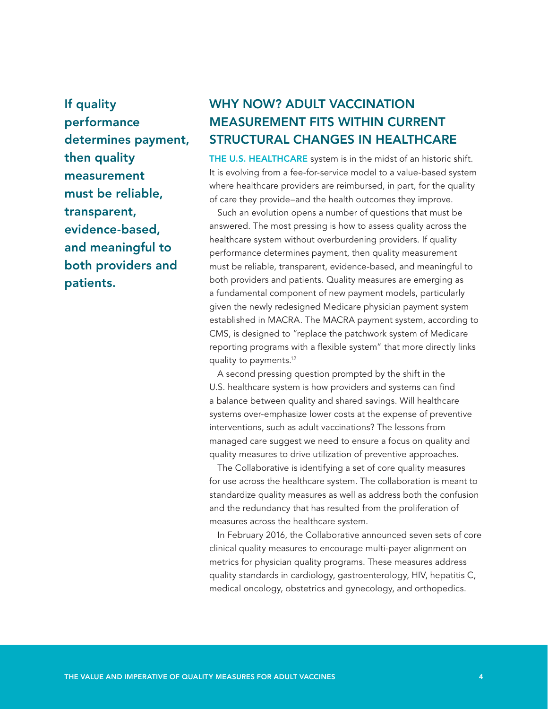If quality performance determines payment, then quality measurement must be reliable, transparent, evidence-based, and meaningful to both providers and patients.

### WHY NOW? ADULT VACCINATION MEASUREMENT FITS WITHIN CURRENT STRUCTURAL CHANGES IN HEALTHCARE

THE U.S. HEALTHCARE system is in the midst of an historic shift. It is evolving from a fee-for-service model to a value-based system where healthcare providers are reimbursed, in part, for the quality of care they provide–and the health outcomes they improve.

Such an evolution opens a number of questions that must be answered. The most pressing is how to assess quality across the healthcare system without overburdening providers. If quality performance determines payment, then quality measurement must be reliable, transparent, evidence-based, and meaningful to both providers and patients. Quality measures are emerging as a fundamental component of new payment models, particularly given the newly redesigned Medicare physician payment system established in MACRA. The MACRA payment system, according to CMS, is designed to "replace the patchwork system of Medicare reporting programs with a flexible system" that more directly links quality to payments.12

A second pressing question prompted by the shift in the U.S. healthcare system is how providers and systems can find a balance between quality and shared savings. Will healthcare systems over-emphasize lower costs at the expense of preventive interventions, such as adult vaccinations? The lessons from managed care suggest we need to ensure a focus on quality and quality measures to drive utilization of preventive approaches.

The Collaborative is identifying a set of core quality measures for use across the healthcare system. The collaboration is meant to standardize quality measures as well as address both the confusion and the redundancy that has resulted from the proliferation of measures across the healthcare system.

In February 2016, the Collaborative announced seven sets of core clinical quality measures to encourage multi-payer alignment on metrics for physician quality programs. These measures address quality standards in cardiology, gastroenterology, HIV, hepatitis C, medical oncology, obstetrics and gynecology, and orthopedics.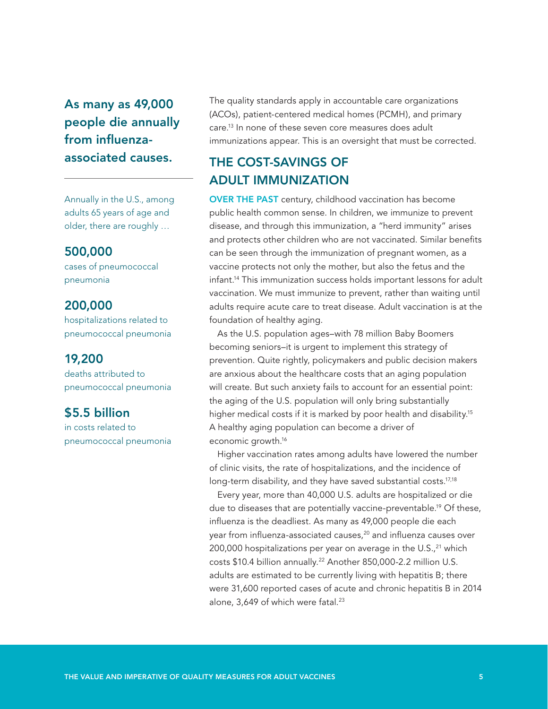As many as 49,000 people die annually from influenzaassociated causes.

Annually in the U.S., among adults 65 years of age and older, there are roughly …

#### 500,000

cases of pneumococcal pneumonia

#### 200,000

hospitalizations related to pneumococcal pneumonia

#### 19,200

deaths attributed to pneumococcal pneumonia

#### \$5.5 billion

in costs related to pneumococcal pneumonia

The quality standards apply in accountable care organizations (ACOs), patient-centered medical homes (PCMH), and primary care.13 In none of these seven core measures does adult immunizations appear. This is an oversight that must be corrected.

#### THE COST-SAVINGS OF ADULT IMMUNIZATION

OVER THE PAST century, childhood vaccination has become public health common sense. In children, we immunize to prevent disease, and through this immunization, a "herd immunity" arises and protects other children who are not vaccinated. Similar benefits can be seen through the immunization of pregnant women, as a vaccine protects not only the mother, but also the fetus and the infant.14 This immunization success holds important lessons for adult vaccination. We must immunize to prevent, rather than waiting until adults require acute care to treat disease. Adult vaccination is at the foundation of healthy aging.

As the U.S. population ages–with 78 million Baby Boomers becoming seniors–it is urgent to implement this strategy of prevention. Quite rightly, policymakers and public decision makers are anxious about the healthcare costs that an aging population will create. But such anxiety fails to account for an essential point: the aging of the U.S. population will only bring substantially higher medical costs if it is marked by poor health and disability.<sup>15</sup> A healthy aging population can become a driver of economic growth.16

Higher vaccination rates among adults have lowered the number of clinic visits, the rate of hospitalizations, and the incidence of long-term disability, and they have saved substantial costs.<sup>17,18</sup>

Every year, more than 40,000 U.S. adults are hospitalized or die due to diseases that are potentially vaccine-preventable.<sup>19</sup> Of these, influenza is the deadliest. As many as 49,000 people die each year from influenza-associated causes,<sup>20</sup> and influenza causes over 200,000 hospitalizations per year on average in the  $U.S.,<sup>21</sup>$  which costs \$10.4 billion annually.<sup>22</sup> Another 850,000-2.2 million U.S. adults are estimated to be currently living with hepatitis B; there were 31,600 reported cases of acute and chronic hepatitis B in 2014 alone,  $3,649$  of which were fatal.<sup>23</sup>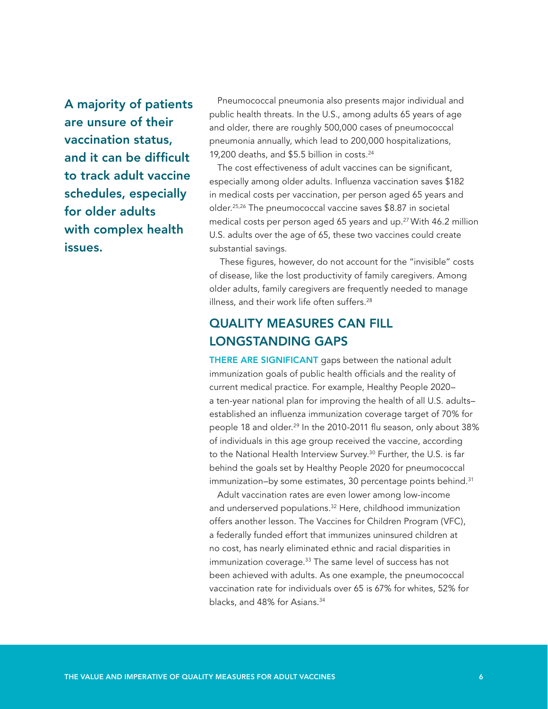A majority of patients are unsure of their vaccination status, and it can be difficult to track adult vaccine schedules, especially for older adults with complex health issues.

Pneumococcal pneumonia also presents major individual and public health threats. In the U.S., among adults 65 years of age and older, there are roughly 500,000 cases of pneumococcal pneumonia annually, which lead to 200,000 hospitalizations, 19,200 deaths, and \$5.5 billion in costs.<sup>24</sup>

The cost effectiveness of adult vaccines can be significant, especially among older adults. Influenza vaccination saves \$182 in medical costs per vaccination, per person aged 65 years and older.25,26 The pneumococcal vaccine saves \$8.87 in societal medical costs per person aged 65 years and up.<sup>27</sup> With 46.2 million U.S. adults over the age of 65, these two vaccines could create substantial savings.

 These figures, however, do not account for the "invisible" costs of disease, like the lost productivity of family caregivers. Among older adults, family caregivers are frequently needed to manage illness, and their work life often suffers.<sup>28</sup>

#### QUALITY MEASURES CAN FILL LONGSTANDING GAPS

THERE ARE SIGNIFICANT gaps between the national adult immunization goals of public health officials and the reality of current medical practice. For example, Healthy People 2020– a ten-year national plan for improving the health of all U.S. adults– established an influenza immunization coverage target of 70% for people 18 and older.<sup>29</sup> In the 2010-2011 flu season, only about 38% of individuals in this age group received the vaccine, according to the National Health Interview Survey.<sup>30</sup> Further, the U.S. is far behind the goals set by Healthy People 2020 for pneumococcal immunization–by some estimates, 30 percentage points behind.<sup>31</sup>

Adult vaccination rates are even lower among low-income and underserved populations.<sup>32</sup> Here, childhood immunization offers another lesson. The Vaccines for Children Program (VFC), a federally funded effort that immunizes uninsured children at no cost, has nearly eliminated ethnic and racial disparities in immunization coverage.<sup>33</sup> The same level of success has not been achieved with adults. As one example, the pneumococcal vaccination rate for individuals over 65 is 67% for whites, 52% for blacks, and 48% for Asians.<sup>34</sup>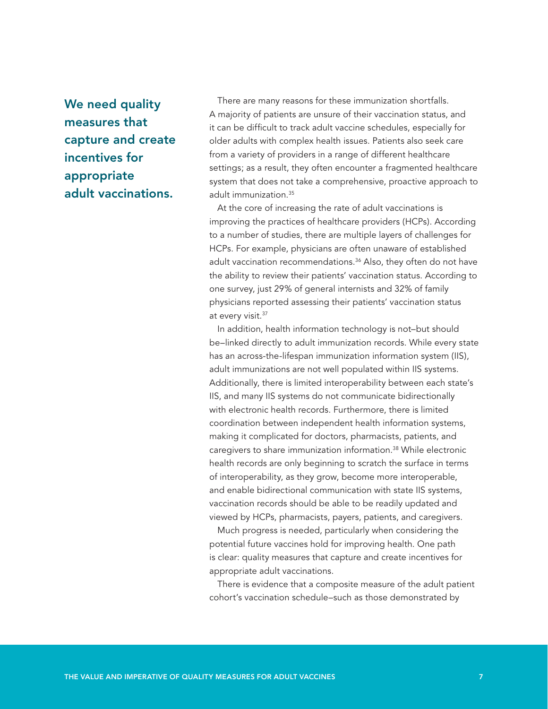We need quality measures that capture and create incentives for appropriate adult vaccinations.

There are many reasons for these immunization shortfalls. A majority of patients are unsure of their vaccination status, and it can be difficult to track adult vaccine schedules, especially for older adults with complex health issues. Patients also seek care from a variety of providers in a range of different healthcare settings; as a result, they often encounter a fragmented healthcare system that does not take a comprehensive, proactive approach to adult immunization.35

At the core of increasing the rate of adult vaccinations is improving the practices of healthcare providers (HCPs). According to a number of studies, there are multiple layers of challenges for HCPs. For example, physicians are often unaware of established adult vaccination recommendations.<sup>36</sup> Also, they often do not have the ability to review their patients' vaccination status. According to one survey, just 29% of general internists and 32% of family physicians reported assessing their patients' vaccination status at every visit.<sup>37</sup>

In addition, health information technology is not–but should be–linked directly to adult immunization records. While every state has an across-the-lifespan immunization information system (IIS), adult immunizations are not well populated within IIS systems. Additionally, there is limited interoperability between each state's IIS, and many IIS systems do not communicate bidirectionally with electronic health records. Furthermore, there is limited coordination between independent health information systems, making it complicated for doctors, pharmacists, patients, and caregivers to share immunization information.38 While electronic health records are only beginning to scratch the surface in terms of interoperability, as they grow, become more interoperable, and enable bidirectional communication with state IIS systems, vaccination records should be able to be readily updated and viewed by HCPs, pharmacists, payers, patients, and caregivers.

Much progress is needed, particularly when considering the potential future vaccines hold for improving health. One path is clear: quality measures that capture and create incentives for appropriate adult vaccinations.

There is evidence that a composite measure of the adult patient cohort's vaccination schedule–such as those demonstrated by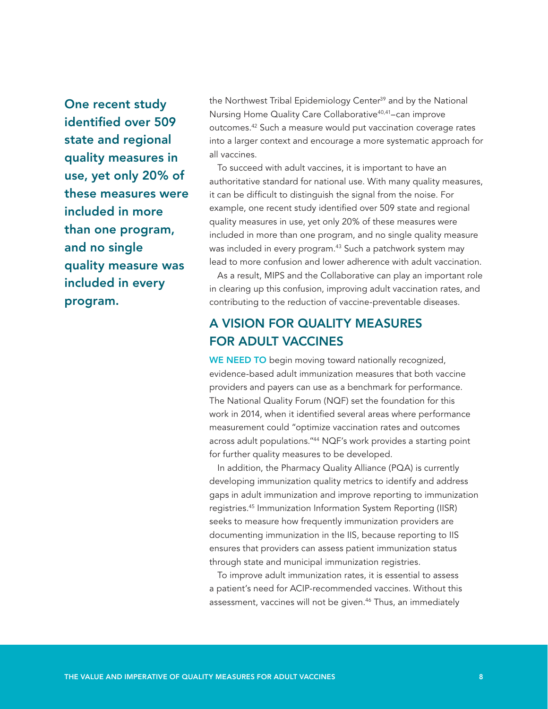One recent study identified over 509 state and regional quality measures in use, yet only 20% of these measures were included in more than one program, and no single quality measure was included in every program.

the Northwest Tribal Epidemiology Center<sup>39</sup> and by the National Nursing Home Quality Care Collaborative<sup>40,41</sup>-can improve outcomes.42 Such a measure would put vaccination coverage rates into a larger context and encourage a more systematic approach for all vaccines.

To succeed with adult vaccines, it is important to have an authoritative standard for national use. With many quality measures, it can be difficult to distinguish the signal from the noise. For example, one recent study identified over 509 state and regional quality measures in use, yet only 20% of these measures were included in more than one program, and no single quality measure was included in every program.<sup>43</sup> Such a patchwork system may lead to more confusion and lower adherence with adult vaccination.

As a result, MIPS and the Collaborative can play an important role in clearing up this confusion, improving adult vaccination rates, and contributing to the reduction of vaccine-preventable diseases.

#### A VISION FOR QUALITY MEASURES FOR ADULT VACCINES

WE NEED TO begin moving toward nationally recognized, evidence-based adult immunization measures that both vaccine providers and payers can use as a benchmark for performance. The National Quality Forum (NQF) set the foundation for this work in 2014, when it identified several areas where performance measurement could "optimize vaccination rates and outcomes across adult populations."44 NQF's work provides a starting point for further quality measures to be developed.

In addition, the Pharmacy Quality Alliance (PQA) is currently developing immunization quality metrics to identify and address gaps in adult immunization and improve reporting to immunization registries.45 Immunization Information System Reporting (IISR) seeks to measure how frequently immunization providers are documenting immunization in the IIS, because reporting to IIS ensures that providers can assess patient immunization status through state and municipal immunization registries.

To improve adult immunization rates, it is essential to assess a patient's need for ACIP-recommended vaccines. Without this assessment, vaccines will not be given.<sup>46</sup> Thus, an immediately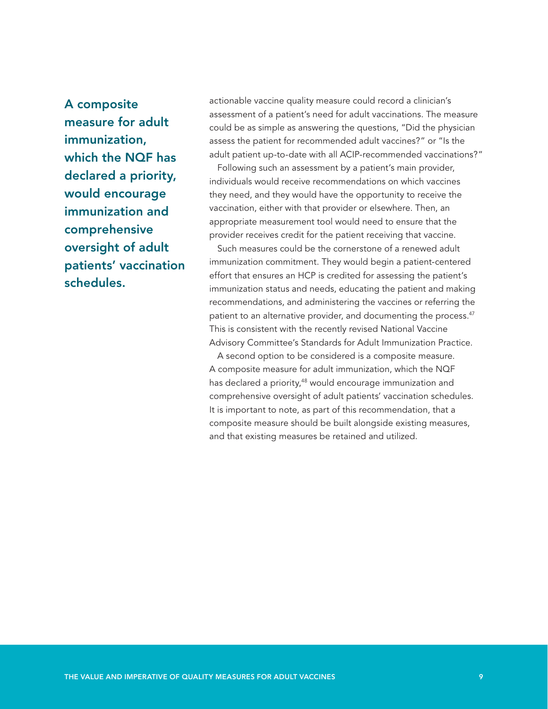A composite measure for adult immunization, which the NQF has declared a priority, would encourage immunization and comprehensive oversight of adult patients' vaccination schedules.

actionable vaccine quality measure could record a clinician's assessment of a patient's need for adult vaccinations. The measure could be as simple as answering the questions, "Did the physician assess the patient for recommended adult vaccines?" or "Is the adult patient up-to-date with all ACIP-recommended vaccinations?"

Following such an assessment by a patient's main provider, individuals would receive recommendations on which vaccines they need, and they would have the opportunity to receive the vaccination, either with that provider or elsewhere. Then, an appropriate measurement tool would need to ensure that the provider receives credit for the patient receiving that vaccine.

Such measures could be the cornerstone of a renewed adult immunization commitment. They would begin a patient-centered effort that ensures an HCP is credited for assessing the patient's immunization status and needs, educating the patient and making recommendations, and administering the vaccines or referring the patient to an alternative provider, and documenting the process.<sup>47</sup> This is consistent with the recently revised National Vaccine Advisory Committee's Standards for Adult Immunization Practice.

A second option to be considered is a composite measure. A composite measure for adult immunization, which the NQF has declared a priority,<sup>48</sup> would encourage immunization and comprehensive oversight of adult patients' vaccination schedules. It is important to note, as part of this recommendation, that a composite measure should be built alongside existing measures, and that existing measures be retained and utilized.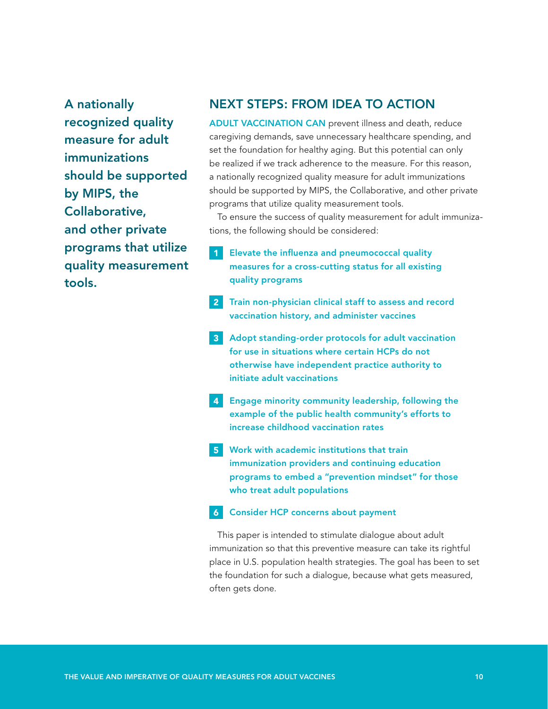A nationally recognized quality measure for adult immunizations should be supported by MIPS, the Collaborative, and other private programs that utilize quality measurement tools.

#### NEXT STEPS: FROM IDEA TO ACTION

ADULT VACCINATION CAN prevent illness and death, reduce caregiving demands, save unnecessary healthcare spending, and set the foundation for healthy aging. But this potential can only be realized if we track adherence to the measure. For this reason, a nationally recognized quality measure for adult immunizations should be supported by MIPS, the Collaborative, and other private programs that utilize quality measurement tools.

To ensure the success of quality measurement for adult immunizations, the following should be considered:

- Elevate the influenza and pneumococcal quality measures for a cross-cutting status for all existing quality programs 1
- 2 Train non-physician clinical staff to assess and record vaccination history, and administer vaccines
- **3** Adopt standing-order protocols for adult vaccination for use in situations where certain HCPs do not otherwise have independent practice authority to initiate adult vaccinations
- 4 Engage minority community leadership, following the example of the public health community's efforts to increase childhood vaccination rates
- 5 Work with academic institutions that train immunization providers and continuing education programs to embed a "prevention mindset" for those who treat adult populations

#### Consider HCP concerns about payment 6

This paper is intended to stimulate dialogue about adult immunization so that this preventive measure can take its rightful place in U.S. population health strategies. The goal has been to set the foundation for such a dialogue, because what gets measured, often gets done.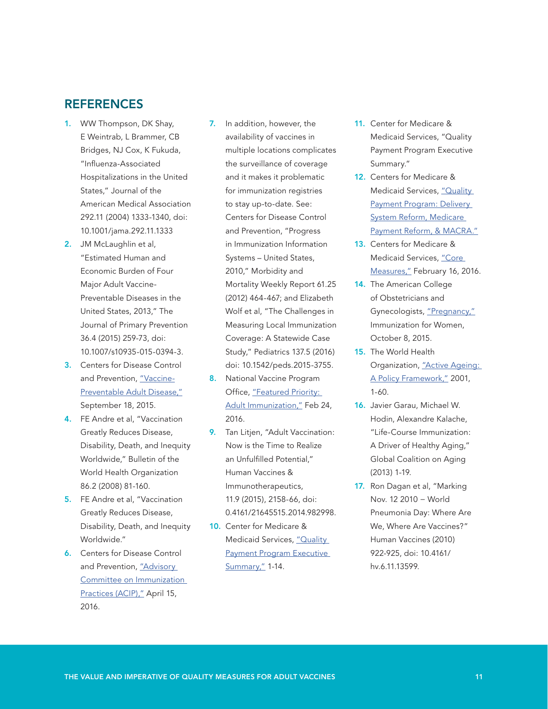#### **REFERENCES**

- 1. WW Thompson, DK Shay, E Weintrab, L Brammer, CB Bridges, NJ Cox, K Fukuda, "Influenza-Associated Hospitalizations in the United States," Journal of the American Medical Association 292.11 (2004) 1333-1340, doi: 10.1001/jama.292.11.1333
- 2. JM McLaughlin et al, "Estimated Human and Economic Burden of Four Major Adult Vaccine-Preventable Diseases in the United States, 2013," The Journal of Primary Prevention 36.4 (2015) 259-73, doi: 10.1007/s10935-015-0394-3.
- 3. Centers for Disease Control and Prevention, ["Vaccine-](http://www.cdc.gov/vaccines/adults/vpd.html)[Preventable Adult Disease,"](http://www.cdc.gov/vaccines/adults/vpd.html) September 18, 2015.
- 4. FE Andre et al, "Vaccination Greatly Reduces Disease, Disability, Death, and Inequity Worldwide," Bulletin of the World Health Organization 86.2 (2008) 81-160.
- 5. FE Andre et al, "Vaccination Greatly Reduces Disease, Disability, Death, and Inequity Worldwide."
- 6. Centers for Disease Control and Prevention, "Advisory [Committee on Immunization](http://www.cdc.gov/vaccines/acip/)  [Practices \(ACIP\),"](http://www.cdc.gov/vaccines/acip/) April 15, 2016.
- 7. In addition, however, the availability of vaccines in multiple locations complicates the surveillance of coverage and it makes it problematic for immunization registries to stay up-to-date. See: Centers for Disease Control and Prevention, "Progress in Immunization Information Systems – United States, 2010," Morbidity and Mortality Weekly Report 61.25 (2012) 464-467; and Elizabeth Wolf et al, "The Challenges in Measuring Local Immunization Coverage: A Statewide Case Study," Pediatrics 137.5 (2016) doi: 10.1542/peds.2015-3755.
- 8. National Vaccine Program Office, ["Featured Priority:](http://www.hhs.gov/nvpo/featured-priorities/adult-immunization/index.html)  [Adult Immunization,"](http://www.hhs.gov/nvpo/featured-priorities/adult-immunization/index.html) Feb 24, 2016.
- 9. Tan Litjen, "Adult Vaccination: Now is the Time to Realize an Unfulfilled Potential," Human Vaccines & Immunotherapeutics, 11.9 (2015), 2158-66, doi: 0.4161/21645515.2014.982998.
- 10. Center for Medicare & Medicaid Services, "Quality [Payment Program Executive](https://www.cms.gov/Medicare/Quality-Initiatives-Patient-Assessment-Instruments/Value-Based-Programs/MACRA-MIPS-and-APMs/NPRM-QPP-Fact-Sheet.pdf)  [Summary,"](https://www.cms.gov/Medicare/Quality-Initiatives-Patient-Assessment-Instruments/Value-Based-Programs/MACRA-MIPS-and-APMs/NPRM-QPP-Fact-Sheet.pdf) 1-14.
- 11. Center for Medicare & Medicaid Services, "Quality Payment Program Executive Summary."
- 12. Centers for Medicare & Medicaid Services, ["Quality](https://www.cms.gov/Medicare/Quality-Initiatives-Patient-Assessment-Instruments/Value-Based-Programs/MACRA-MIPS-and-APMs/MACRA-MIPS-and-APMs.html)  [Payment Program: Delivery](https://www.cms.gov/Medicare/Quality-Initiatives-Patient-Assessment-Instruments/Value-Based-Programs/MACRA-MIPS-and-APMs/MACRA-MIPS-and-APMs.html)  [System Reform, Medicare](https://www.cms.gov/Medicare/Quality-Initiatives-Patient-Assessment-Instruments/Value-Based-Programs/MACRA-MIPS-and-APMs/MACRA-MIPS-and-APMs.html)  [Payment Reform, & MACRA."](https://www.cms.gov/Medicare/Quality-Initiatives-Patient-Assessment-Instruments/Value-Based-Programs/MACRA-MIPS-and-APMs/MACRA-MIPS-and-APMs.html)
- 13. Centers for Medicare & Medicaid Services, ["Core](https://www.cms.gov/Medicare/Quality-Initiatives-Patient-Assessment-Instruments/QualityMeasures/Core-Measures.html)  [Measures,"](https://www.cms.gov/Medicare/Quality-Initiatives-Patient-Assessment-Instruments/QualityMeasures/Core-Measures.html) February 16, 2016.
- 14. The American College of Obstetricians and Gynecologists, ["Pregnancy,"](http://immunizationforwomen.org/providers/pregnancy/pregnancy.php) Immunization for Women, October 8, 2015.
- 15. The World Health Organization, ["Active Ageing:](http://www.who.int/ageing/publications/active_ageing/en/ )  [A Policy Framework,"](http://www.who.int/ageing/publications/active_ageing/en/ ) 2001, 1-60.
- 16. Javier Garau, Michael W. Hodin, Alexandre Kalache, "Life-Course Immunization: A Driver of Healthy Aging," Global Coalition on Aging (2013) 1-19.
- 17. Ron Dagan et al, "Marking Nov. 12 2010 − World Pneumonia Day: Where Are We, Where Are Vaccines?" Human Vaccines (2010) 922-925, doi: 10.4161/ hv.6.11.13599.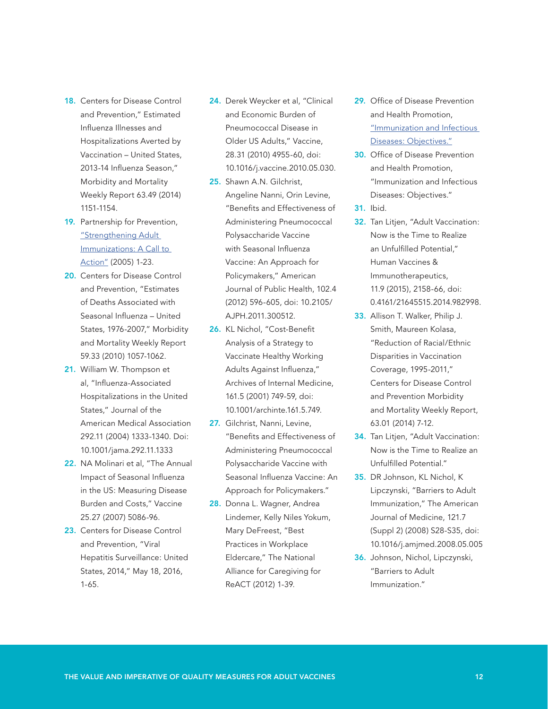- **18.** Centers for Disease Control and Prevention," Estimated Influenza Illnesses and Hospitalizations Averted by Vaccination – United States, 2013-14 Influenza Season," Morbidity and Mortality Weekly Report 63.49 (2014) 1151-1154.
- 19. Partnership for Prevention, ["Strengthening Adult](https://www.prevent.org/downloadStart.aspx?id=39)  [Immunizations: A Call to](https://www.prevent.org/downloadStart.aspx?id=39)  [Action"](https://www.prevent.org/downloadStart.aspx?id=39) (2005) 1-23.
- 20. Centers for Disease Control and Prevention, "Estimates of Deaths Associated with Seasonal Influenza – United States, 1976-2007," Morbidity and Mortality Weekly Report 59.33 (2010) 1057-1062.
- 21. William W. Thompson et al, "Influenza-Associated Hospitalizations in the United States," Journal of the American Medical Association 292.11 (2004) 1333-1340. Doi: 10.1001/jama.292.11.1333
- 22. NA Molinari et al, "The Annual Impact of Seasonal Influenza in the US: Measuring Disease Burden and Costs," Vaccine 25.27 (2007) 5086-96.
- 23. Centers for Disease Control and Prevention, "Viral Hepatitis Surveillance: United States, 2014," May 18, 2016, 1-65.
- 24. Derek Weycker et al, "Clinical and Economic Burden of Pneumococcal Disease in Older US Adults," Vaccine, 28.31 (2010) 4955-60, doi: 10.1016/j.vaccine.2010.05.030.
- 25. Shawn A.N. Gilchrist, Angeline Nanni, Orin Levine, "Benefits and Effectiveness of Administering Pneumococcal Polysaccharide Vaccine with Seasonal Influenza Vaccine: An Approach for Policymakers," American Journal of Public Health, 102.4 (2012) 596-605, doi: 10.2105/ AJPH.2011.300512.
- 26. KL Nichol, "Cost-Benefit Analysis of a Strategy to Vaccinate Healthy Working Adults Against Influenza," Archives of Internal Medicine, 161.5 (2001) 749-59, doi: 10.1001/archinte.161.5.749.
- 27. Gilchrist, Nanni, Levine, "Benefits and Effectiveness of Administering Pneumococcal Polysaccharide Vaccine with Seasonal Influenza Vaccine: An Approach for Policymakers."
- 28. Donna L. Wagner, Andrea Lindemer, Kelly Niles Yokum, Mary DeFreest, "Best Practices in Workplace Eldercare," The National Alliance for Caregiving for ReACT (2012) 1-39.
- 29. Office of Disease Prevention and Health Promotion, ["Immunization and Infectious](https://www.healthypeople.gov/2020/topics-objectives/topic/immunization-and-infectious-diseases/objectives)  [Diseases: Objectives."](https://www.healthypeople.gov/2020/topics-objectives/topic/immunization-and-infectious-diseases/objectives)
- 30. Office of Disease Prevention and Health Promotion, "Immunization and Infectious Diseases: Objectives."
- 31. Ibid.
- 32. Tan Litjen, "Adult Vaccination: Now is the Time to Realize an Unfulfilled Potential," Human Vaccines & Immunotherapeutics, 11.9 (2015), 2158-66, doi: 0.4161/21645515.2014.982998.
- 33. Allison T. Walker, Philip J. Smith, Maureen Kolasa, "Reduction of Racial/Ethnic Disparities in Vaccination Coverage, 1995-2011," Centers for Disease Control and Prevention Morbidity and Mortality Weekly Report, 63.01 (2014) 7-12.
- 34. Tan Litjen, "Adult Vaccination: Now is the Time to Realize an Unfulfilled Potential."
- 35. DR Johnson, KL Nichol, K Lipczynski, "Barriers to Adult Immunization," The American Journal of Medicine, 121.7 (Suppl 2) (2008) S28-S35, doi: 10.1016/j.amjmed.2008.05.005
- 36. Johnson, Nichol, Lipczynski, "Barriers to Adult Immunization."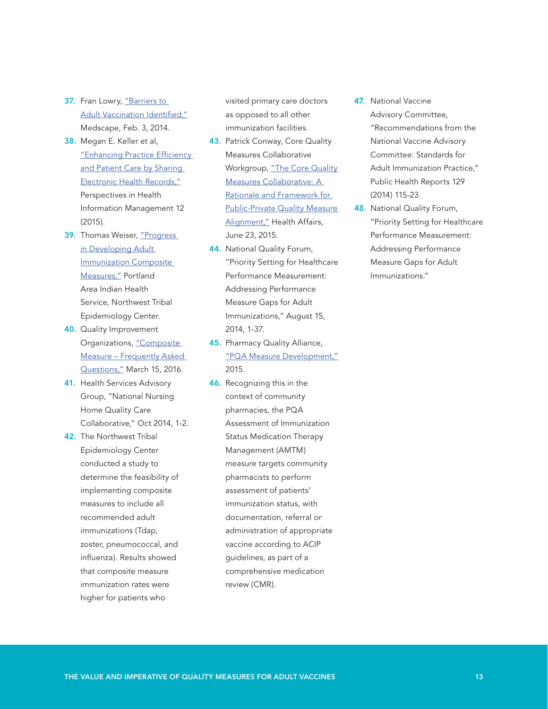- 37. Fran Lowry, "Barriers to [Adult Vaccination Identified,"](http://www.medscape.com/viewarticle/820146) Medscape, Feb. 3, 2014.
- 38. Megan E. Keller et al, "Enhancing Practice Efficiency [and Patient Care by Sharing](http://www.ncbi.nlm.nih.gov/pmc/articles/PMC4632871/)  [Electronic Health Records,"](http://www.ncbi.nlm.nih.gov/pmc/articles/PMC4632871/) Perspectives in Health Information Management 12 (2015).
- 39. Thomas Weiser, "Progress in Developing Adult [Immunization Composite](http://www.hhs.gov/sites/default/files/tab_10.05_weiser_adult_iz_composite-measures.pdf)  [Measures,"](http://www.hhs.gov/sites/default/files/tab_10.05_weiser_adult_iz_composite-measures.pdf) Portland Area Indian Health Service, Northwest Tribal Epidemiology Center.
- 40. Quality Improvement Organizations, ["Composite](http://qio.ipro.org/composite-measure-frequently-asked-questions)  [Measure – Frequently Asked](http://qio.ipro.org/composite-measure-frequently-asked-questions)  [Questions,"](http://qio.ipro.org/composite-measure-frequently-asked-questions) March 15, 2016.
- 41. Health Services Advisory Group, "National Nursing Home Quality Care Collaborative," Oct 2014, 1-2.
- 42. The Northwest Tribal Epidemiology Center conducted a study to determine the feasibility of implementing composite measures to include all recommended adult immunizations (Tdap, zoster, pneumococcal, and influenza). Results showed that composite measure immunization rates were higher for patients who

visited primary care doctors as opposed to all other immunization facilities.

- 43. Patrick Conway, Core Quality Measures Collaborative Workgroup, "The Core Quality [Measures Collaborative: A](http://healthaffairs.org/blog/2015/06/23/the-core-quality-measures-collaborative-a-rationale-and-framework-for-public-private-quality-measure-alignment/ http://healthaffairs.org/blog/2015/06/23/the-core-quality-measures-collaborative-a-rationale-and-framework-for-public-private-quality-measure-alignment/)  [Rationale and Framework for](http://healthaffairs.org/blog/2015/06/23/the-core-quality-measures-collaborative-a-rationale-and-framework-for-public-private-quality-measure-alignment/ http://healthaffairs.org/blog/2015/06/23/the-core-quality-measures-collaborative-a-rationale-and-framework-for-public-private-quality-measure-alignment/)  **Public-Private Quality Measure** [Alignment,"](http://healthaffairs.org/blog/2015/06/23/the-core-quality-measures-collaborative-a-rationale-and-framework-for-public-private-quality-measure-alignment/ http://healthaffairs.org/blog/2015/06/23/the-core-quality-measures-collaborative-a-rationale-and-framework-for-public-private-quality-measure-alignment/) Health Affairs, June 23, 2015.
- 44. National Quality Forum, "Priority Setting for Healthcare Performance Measurement: Addressing Performance Measure Gaps for Adult Immunizations," August 15, 2014, 1-37.
- 45. Pharmacy Quality Alliance, ["PQA Measure Development,"](http://pqaalliance.org/measures/default.asp) 2015.
- 46. Recognizing this in the context of community pharmacies, the PQA Assessment of Immunization Status Medication Therapy Management (AMTM) measure targets community pharmacists to perform assessment of patients' immunization status, with documentation, referral or administration of appropriate vaccine according to ACIP guidelines, as part of a comprehensive medication review (CMR).
- 47. National Vaccine Advisory Committee, "Recommendations from the National Vaccine Advisory Committee: Standards for Adult Immunization Practice," Public Health Reports 129 (2014) 115-23.
- 48. National Quality Forum, "Priority Setting for Healthcare Performance Measurement: Addressing Performance Measure Gaps for Adult Immunizations."